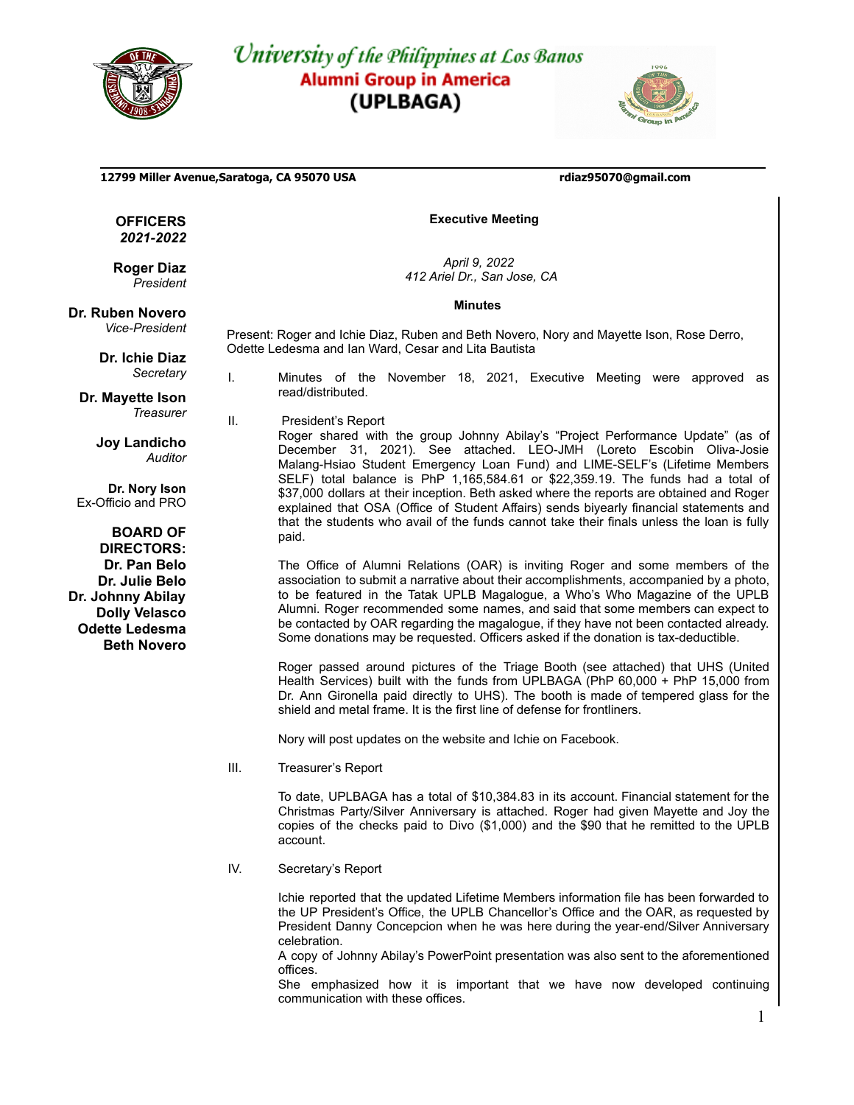

## University of the Philippines at Los Banos **Alumni Group in America** (UPLBAGA)

Odette Ledesma and Ian Ward, Cesar and Lita Bautista



**12799 Miller Avenue,Saratoga, CA 95070 USA rdiaz95070@gmail.com**

**OFFICERS** *2021-2022*

**Roger Diaz** *President*

**Dr. Ruben Novero**

*Vice-President*

**Dr. Ichie Diaz** *Secretary*

**Dr. Mayette Ison** *Treasurer*

> **Joy Landicho** *Auditor*

**Dr. Nory Ison** Ex-Officio and PRO

**BOARD OF DIRECTORS: Dr. Pan Belo Dr. Julie Belo Dr. Johnny Abilay Dolly Velasco Odette Ledesma Beth Novero**

I. Minutes of the November 18, 2021, Executive Meeting were approved as read/distributed.

**Executive Meeting**

*April 9, 2022 412 Ariel Dr., San Jose, CA* **Minutes**

Present: Roger and Ichie Diaz, Ruben and Beth Novero, Nory and Mayette Ison, Rose Derro,

II. President's Report

Roger shared with the group Johnny Abilay's "Project Performance Update" (as of December 31, 2021). See attached. LEO-JMH (Loreto Escobin Oliva-Josie Malang-Hsiao Student Emergency Loan Fund) and LIME-SELF's (Lifetime Members SELF) total balance is PhP 1,165,584.61 or \$22,359.19. The funds had a total of \$37,000 dollars at their inception. Beth asked where the reports are obtained and Roger explained that OSA (Office of Student Affairs) sends biyearly financial statements and that the students who avail of the funds cannot take their finals unless the loan is fully paid.

The Office of Alumni Relations (OAR) is inviting Roger and some members of the association to submit a narrative about their accomplishments, accompanied by a photo, to be featured in the Tatak UPLB Magalogue, a Who's Who Magazine of the UPLB Alumni. Roger recommended some names, and said that some members can expect to be contacted by OAR regarding the magalogue, if they have not been contacted already. Some donations may be requested. Officers asked if the donation is tax-deductible.

Roger passed around pictures of the Triage Booth (see attached) that UHS (United Health Services) built with the funds from UPLBAGA (PhP 60,000 + PhP 15,000 from Dr. Ann Gironella paid directly to UHS). The booth is made of tempered glass for the shield and metal frame. It is the first line of defense for frontliners.

Nory will post updates on the website and Ichie on Facebook.

III. Treasurer's Report

To date, UPLBAGA has a total of \$10,384.83 in its account. Financial statement for the Christmas Party/Silver Anniversary is attached. Roger had given Mayette and Joy the copies of the checks paid to Divo (\$1,000) and the \$90 that he remitted to the UPLB account.

IV. Secretary's Report

Ichie reported that the updated Lifetime Members information file has been forwarded to the UP President's Office, the UPLB Chancellor's Office and the OAR, as requested by President Danny Concepcion when he was here during the year-end/Silver Anniversary celebration.

A copy of Johnny Abilay's PowerPoint presentation was also sent to the aforementioned offices.

She emphasized how it is important that we have now developed continuing communication with these offices.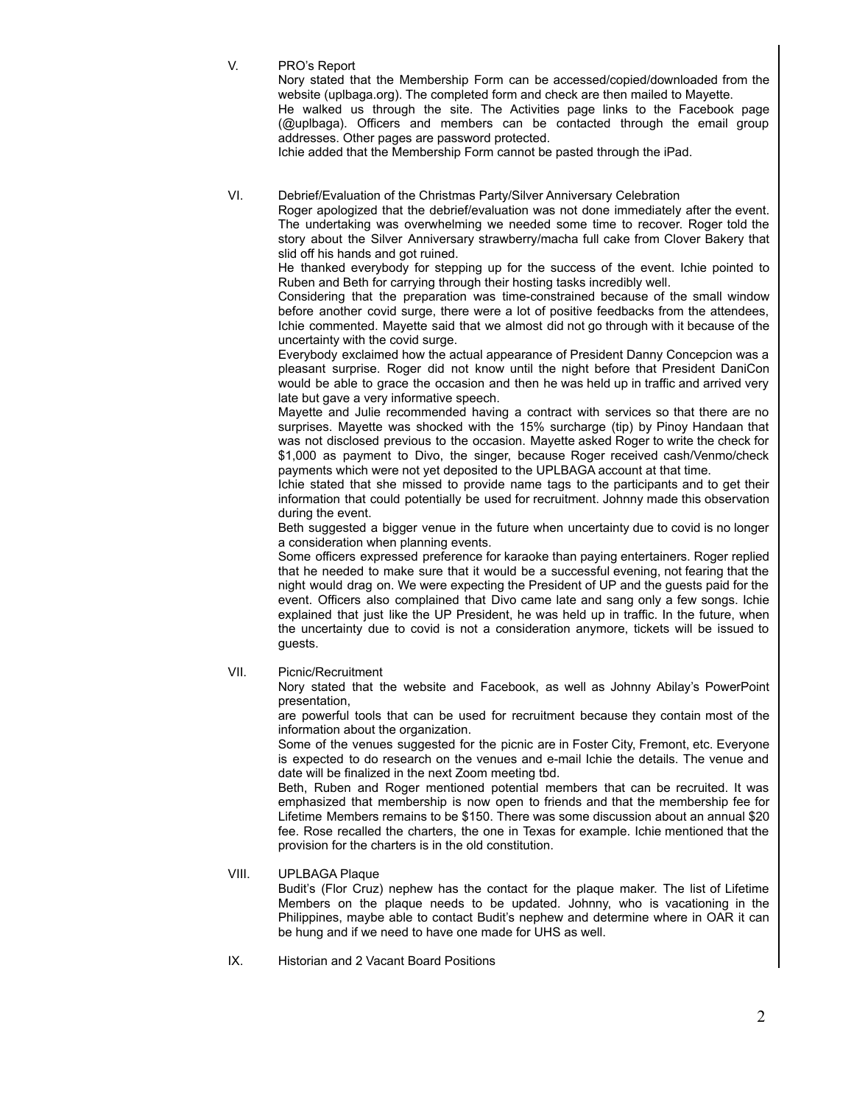V. PRO's Report

Nory stated that the Membership Form can be accessed/copied/downloaded from the website (uplbaga.org). The completed form and check are then mailed to Mayette.

He walked us through the site. The Activities page links to the Facebook page (@uplbaga). Officers and members can be contacted through the email group addresses. Other pages are password protected.

Ichie added that the Membership Form cannot be pasted through the iPad.

## VI. Debrief/Evaluation of the Christmas Party/Silver Anniversary Celebration

Roger apologized that the debrief/evaluation was not done immediately after the event. The undertaking was overwhelming we needed some time to recover. Roger told the story about the Silver Anniversary strawberry/macha full cake from Clover Bakery that slid off his hands and got ruined.

He thanked everybody for stepping up for the success of the event. Ichie pointed to Ruben and Beth for carrying through their hosting tasks incredibly well.

Considering that the preparation was time-constrained because of the small window before another covid surge, there were a lot of positive feedbacks from the attendees, Ichie commented. Mayette said that we almost did not go through with it because of the uncertainty with the covid surge.

Everybody exclaimed how the actual appearance of President Danny Concepcion was a pleasant surprise. Roger did not know until the night before that President DaniCon would be able to grace the occasion and then he was held up in traffic and arrived very late but gave a very informative speech.

Mayette and Julie recommended having a contract with services so that there are no surprises. Mayette was shocked with the 15% surcharge (tip) by Pinoy Handaan that was not disclosed previous to the occasion. Mayette asked Roger to write the check for \$1,000 as payment to Divo, the singer, because Roger received cash/Venmo/check payments which were not yet deposited to the UPLBAGA account at that time.

Ichie stated that she missed to provide name tags to the participants and to get their information that could potentially be used for recruitment. Johnny made this observation during the event.

Beth suggested a bigger venue in the future when uncertainty due to covid is no longer a consideration when planning events.

Some officers expressed preference for karaoke than paying entertainers. Roger replied that he needed to make sure that it would be a successful evening, not fearing that the night would drag on. We were expecting the President of UP and the guests paid for the event. Officers also complained that Divo came late and sang only a few songs. Ichie explained that just like the UP President, he was held up in traffic. In the future, when the uncertainty due to covid is not a consideration anymore, tickets will be issued to guests.

VII. Picnic/Recruitment

Nory stated that the website and Facebook, as well as Johnny Abilay's PowerPoint presentation,

are powerful tools that can be used for recruitment because they contain most of the information about the organization.

Some of the venues suggested for the picnic are in Foster City, Fremont, etc. Everyone is expected to do research on the venues and e-mail Ichie the details. The venue and date will be finalized in the next Zoom meeting tbd.

Beth, Ruben and Roger mentioned potential members that can be recruited. It was emphasized that membership is now open to friends and that the membership fee for Lifetime Members remains to be \$150. There was some discussion about an annual \$20 fee. Rose recalled the charters, the one in Texas for example. Ichie mentioned that the provision for the charters is in the old constitution.

## VIII. UPLBAGA Plaque

Budit's (Flor Cruz) nephew has the contact for the plaque maker. The list of Lifetime Members on the plaque needs to be updated. Johnny, who is vacationing in the Philippines, maybe able to contact Budit's nephew and determine where in OAR it can be hung and if we need to have one made for UHS as well.

IX. Historian and 2 Vacant Board Positions